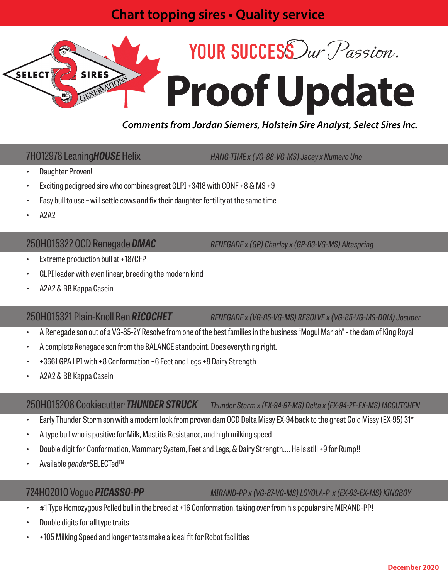## **Chart topping sires • Quality service**



### *Comments from Jordan Siemers, Holstein Sire Analyst, Select Sires Inc.*

7HO12978 Leaning*HOUSE* Helix *HANG-TIME x (VG-88-VG-MS) Jacey x Numero Uno*

- Daughter Proven!
- Exciting pedigreed sire who combines great GLPI +3418 with CONF +8 & MS +9
- Easy bull to use will settle cows and fix their daughter fertility at the same time
- A2A2

250HO15322 OCD Renegade *DMAC RENEGADE x (GP) Charley x (GP-83-VG-MS) Altaspring*

- Extreme production bull at +187CFP
- GLPI leader with even linear, breeding the modern kind
- A2A2 & BB Kappa Casein

250HO15321 Plain-Knoll Ren *RICOCHET RENEGADE x (VG-85-VG-MS) RESOLVE x (VG-85-VG-MS-DOM) Josuper*

- A Renegade son out of a VG-85-2Y Resolve from one of the best families in the business "Mogul Mariah" the dam of King Royal
- A complete Renegade son from the BALANCE standpoint. Does everything right.
- +3661 GPA LPI with +8 Conformation +6 Feet and Legs +8 Dairy Strength
- A2A2 & BB Kappa Casein

### 250HO15208 Cookiecutter *THUNDER STRUCK Thunder Storm x (EX-94-97-MS) Delta x (EX-94-2E-EX-MS) MCCUTCHEN*

- Early Thunder Storm son with a modern look from proven dam OCD Delta Missy EX-94 back to the great Gold Missy (EX-95) 31\*
- A type bull who is positive for Milk, Mastitis Resistance, and high milking speed
- Double digit for Conformation, Mammary System, Feet and Legs, & Dairy Strength…. He is still +9 for Rump!!
- Available *gender*SELECTed™

724HO2010 Vogue *PICASSO-PP MIRAND-PP x (VG-87-VG-MS) LOYOLA-P x (EX-93-EX-MS) KINGBOY*

- #1 Type Homozygous Polled bull in the breed at +16 Conformation, taking over from his popular sire MIRAND-PP!
- Double digits for all type traits
- +105 Milking Speed and longer teats make a ideal fit for Robot facilities